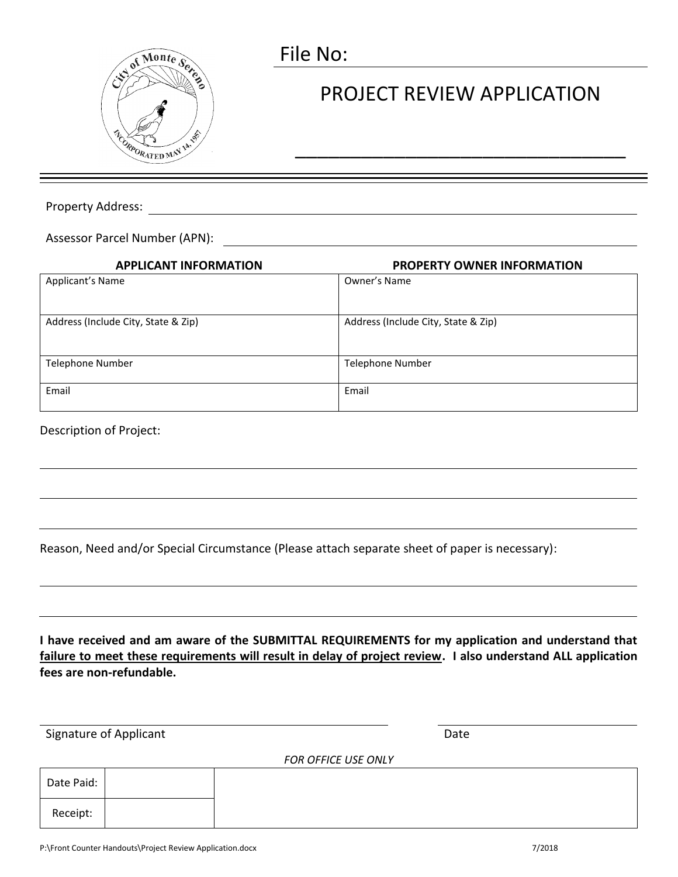

## File No:

## PROJECT REVIEW APPLICATION

\_\_\_\_\_\_\_\_\_\_\_\_\_\_\_\_\_\_\_\_\_\_\_\_\_\_\_\_\_\_

Property Address:

Assessor Parcel Number (APN):

| <b>APPLICANT INFORMATION</b>        | <b>PROPERTY OWNER INFORMATION</b>   |
|-------------------------------------|-------------------------------------|
| Applicant's Name                    | Owner's Name                        |
| Address (Include City, State & Zip) | Address (Include City, State & Zip) |
| Telephone Number                    | Telephone Number                    |
| Email                               | Email                               |

## Description of Project:

|  |  | Reason, Need and/or Special Circumstance (Please attach separate sheet of paper is necessary): |  |
|--|--|------------------------------------------------------------------------------------------------|--|
|  |  |                                                                                                |  |
|  |  |                                                                                                |  |
|  |  |                                                                                                |  |

**I have received and am aware of the SUBMITTAL REQUIREMENTS for my application and understand that failure to meet these requirements will result in delay of project review. I also understand ALL application fees are non-refundable.** 

| Signature of Applicant |  |                     | Date |  |  |
|------------------------|--|---------------------|------|--|--|
|                        |  | FOR OFFICE USE ONLY |      |  |  |
| Date Paid:             |  |                     |      |  |  |
| Receipt:               |  |                     |      |  |  |